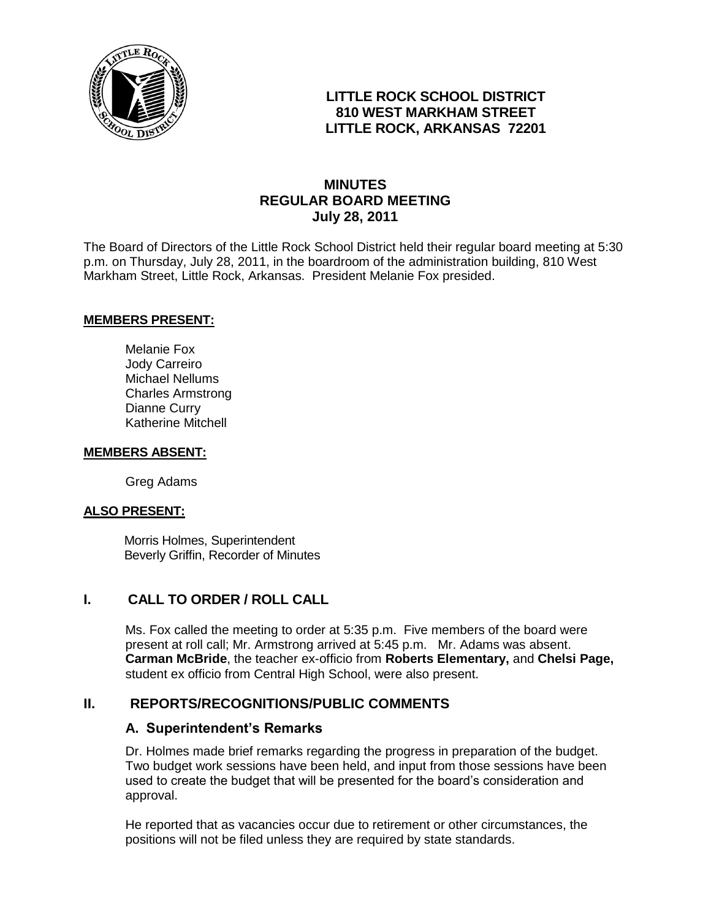

## **LITTLE ROCK SCHOOL DISTRICT 810 WEST MARKHAM STREET LITTLE ROCK, ARKANSAS 72201**

# **MINUTES REGULAR BOARD MEETING July 28, 2011**

The Board of Directors of the Little Rock School District held their regular board meeting at 5:30 p.m. on Thursday, July 28, 2011, in the boardroom of the administration building, 810 West Markham Street, Little Rock, Arkansas. President Melanie Fox presided.

#### **MEMBERS PRESENT:**

Melanie Fox Jody Carreiro Michael Nellums Charles Armstrong Dianne Curry Katherine Mitchell

#### **MEMBERS ABSENT:**

Greg Adams

#### **ALSO PRESENT:**

 Morris Holmes, Superintendent Beverly Griffin, Recorder of Minutes

### **I. CALL TO ORDER / ROLL CALL**

Ms. Fox called the meeting to order at 5:35 p.m. Five members of the board were present at roll call; Mr. Armstrong arrived at 5:45 p.m. Mr. Adams was absent. **Carman McBride**, the teacher ex-officio from **Roberts Elementary,** and **Chelsi Page,**  student ex officio from Central High School, were also present.

### **II. REPORTS/RECOGNITIONS/PUBLIC COMMENTS**

#### **A. Superintendent's Remarks**

Dr. Holmes made brief remarks regarding the progress in preparation of the budget. Two budget work sessions have been held, and input from those sessions have been used to create the budget that will be presented for the board's consideration and approval.

He reported that as vacancies occur due to retirement or other circumstances, the positions will not be filed unless they are required by state standards.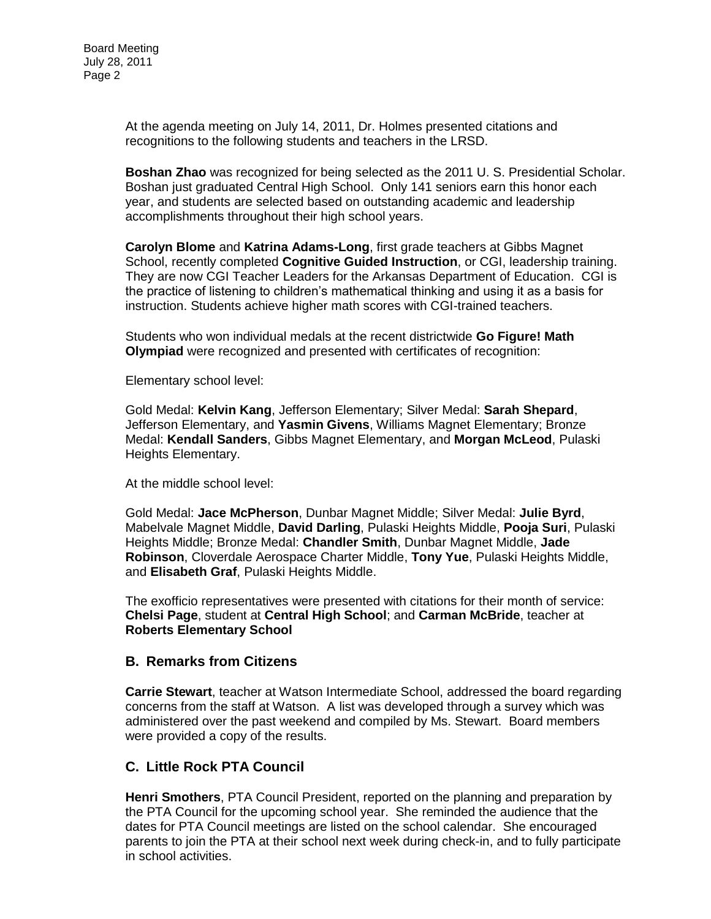At the agenda meeting on July 14, 2011, Dr. Holmes presented citations and recognitions to the following students and teachers in the LRSD.

**Boshan Zhao** was recognized for being selected as the 2011 U. S. Presidential Scholar. Boshan just graduated Central High School. Only 141 seniors earn this honor each year, and students are selected based on outstanding academic and leadership accomplishments throughout their high school years.

**Carolyn Blome** and **Katrina Adams-Long**, first grade teachers at Gibbs Magnet School, recently completed **Cognitive Guided Instruction**, or CGI, leadership training. They are now CGI Teacher Leaders for the Arkansas Department of Education. CGI is the practice of listening to children's mathematical thinking and using it as a basis for instruction. Students achieve higher math scores with CGI-trained teachers.

Students who won individual medals at the recent districtwide **Go Figure! Math Olympiad** were recognized and presented with certificates of recognition:

Elementary school level:

Gold Medal: **Kelvin Kang**, Jefferson Elementary; Silver Medal: **Sarah Shepard**, Jefferson Elementary, and **Yasmin Givens**, Williams Magnet Elementary; Bronze Medal: **Kendall Sanders**, Gibbs Magnet Elementary, and **Morgan McLeod**, Pulaski Heights Elementary.

At the middle school level:

Gold Medal: **Jace McPherson**, Dunbar Magnet Middle; Silver Medal: **Julie Byrd**, Mabelvale Magnet Middle, **David Darling**, Pulaski Heights Middle, **Pooja Suri**, Pulaski Heights Middle; Bronze Medal: **Chandler Smith**, Dunbar Magnet Middle, **Jade Robinson**, Cloverdale Aerospace Charter Middle, **Tony Yue**, Pulaski Heights Middle, and **Elisabeth Graf**, Pulaski Heights Middle.

The exofficio representatives were presented with citations for their month of service: **Chelsi Page**, student at **Central High School**; and **Carman McBride**, teacher at **Roberts Elementary School**

#### **B. Remarks from Citizens**

**Carrie Stewart**, teacher at Watson Intermediate School, addressed the board regarding concerns from the staff at Watson. A list was developed through a survey which was administered over the past weekend and compiled by Ms. Stewart. Board members were provided a copy of the results.

### **C. Little Rock PTA Council**

**Henri Smothers**, PTA Council President, reported on the planning and preparation by the PTA Council for the upcoming school year. She reminded the audience that the dates for PTA Council meetings are listed on the school calendar. She encouraged parents to join the PTA at their school next week during check-in, and to fully participate in school activities.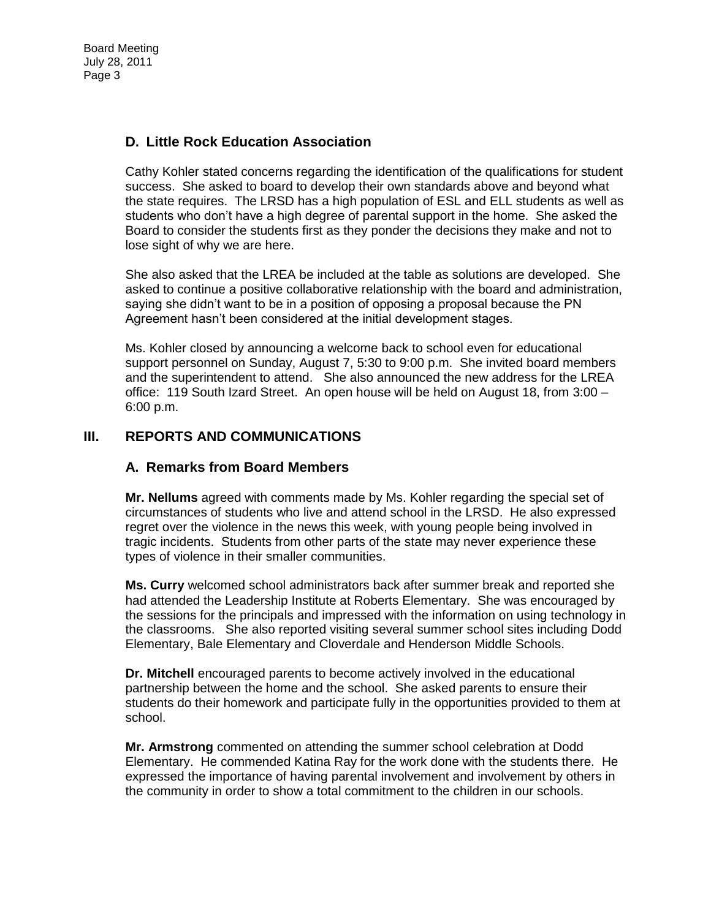# **D. Little Rock Education Association**

Cathy Kohler stated concerns regarding the identification of the qualifications for student success. She asked to board to develop their own standards above and beyond what the state requires. The LRSD has a high population of ESL and ELL students as well as students who don't have a high degree of parental support in the home. She asked the Board to consider the students first as they ponder the decisions they make and not to lose sight of why we are here.

She also asked that the LREA be included at the table as solutions are developed. She asked to continue a positive collaborative relationship with the board and administration, saying she didn't want to be in a position of opposing a proposal because the PN Agreement hasn't been considered at the initial development stages.

Ms. Kohler closed by announcing a welcome back to school even for educational support personnel on Sunday, August 7, 5:30 to 9:00 p.m. She invited board members and the superintendent to attend. She also announced the new address for the LREA office: 119 South Izard Street. An open house will be held on August 18, from 3:00 – 6:00 p.m.

### **III. REPORTS AND COMMUNICATIONS**

### **A. Remarks from Board Members**

**Mr. Nellums** agreed with comments made by Ms. Kohler regarding the special set of circumstances of students who live and attend school in the LRSD. He also expressed regret over the violence in the news this week, with young people being involved in tragic incidents. Students from other parts of the state may never experience these types of violence in their smaller communities.

**Ms. Curry** welcomed school administrators back after summer break and reported she had attended the Leadership Institute at Roberts Elementary. She was encouraged by the sessions for the principals and impressed with the information on using technology in the classrooms. She also reported visiting several summer school sites including Dodd Elementary, Bale Elementary and Cloverdale and Henderson Middle Schools.

**Dr. Mitchell** encouraged parents to become actively involved in the educational partnership between the home and the school. She asked parents to ensure their students do their homework and participate fully in the opportunities provided to them at school.

**Mr. Armstrong** commented on attending the summer school celebration at Dodd Elementary. He commended Katina Ray for the work done with the students there. He expressed the importance of having parental involvement and involvement by others in the community in order to show a total commitment to the children in our schools.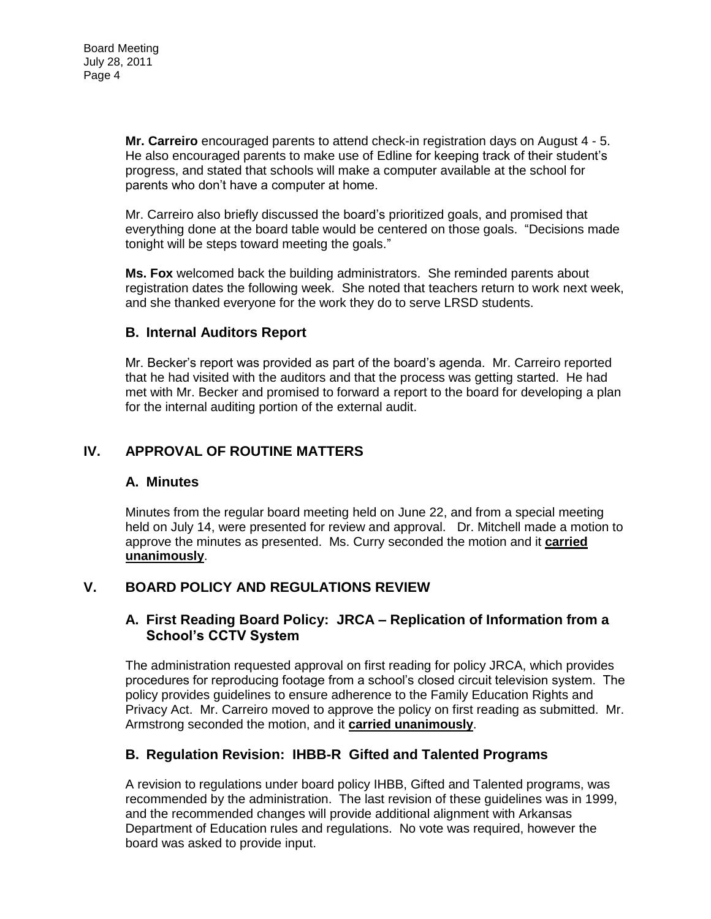**Mr. Carreiro** encouraged parents to attend check-in registration days on August 4 - 5. He also encouraged parents to make use of Edline for keeping track of their student's progress, and stated that schools will make a computer available at the school for parents who don't have a computer at home.

Mr. Carreiro also briefly discussed the board's prioritized goals, and promised that everything done at the board table would be centered on those goals. "Decisions made tonight will be steps toward meeting the goals."

**Ms. Fox** welcomed back the building administrators. She reminded parents about registration dates the following week. She noted that teachers return to work next week, and she thanked everyone for the work they do to serve LRSD students.

### **B. Internal Auditors Report**

Mr. Becker's report was provided as part of the board's agenda. Mr. Carreiro reported that he had visited with the auditors and that the process was getting started. He had met with Mr. Becker and promised to forward a report to the board for developing a plan for the internal auditing portion of the external audit.

#### **IV. APPROVAL OF ROUTINE MATTERS**

#### **A. Minutes**

Minutes from the regular board meeting held on June 22, and from a special meeting held on July 14, were presented for review and approval. Dr. Mitchell made a motion to approve the minutes as presented. Ms. Curry seconded the motion and it **carried unanimously**.

### **V. BOARD POLICY AND REGULATIONS REVIEW**

#### **A. First Reading Board Policy: JRCA – Replication of Information from a School's CCTV System**

The administration requested approval on first reading for policy JRCA, which provides procedures for reproducing footage from a school's closed circuit television system. The policy provides guidelines to ensure adherence to the Family Education Rights and Privacy Act. Mr. Carreiro moved to approve the policy on first reading as submitted. Mr. Armstrong seconded the motion, and it **carried unanimously**.

### **B. Regulation Revision: IHBB-R Gifted and Talented Programs**

A revision to regulations under board policy IHBB, Gifted and Talented programs, was recommended by the administration. The last revision of these guidelines was in 1999, and the recommended changes will provide additional alignment with Arkansas Department of Education rules and regulations. No vote was required, however the board was asked to provide input.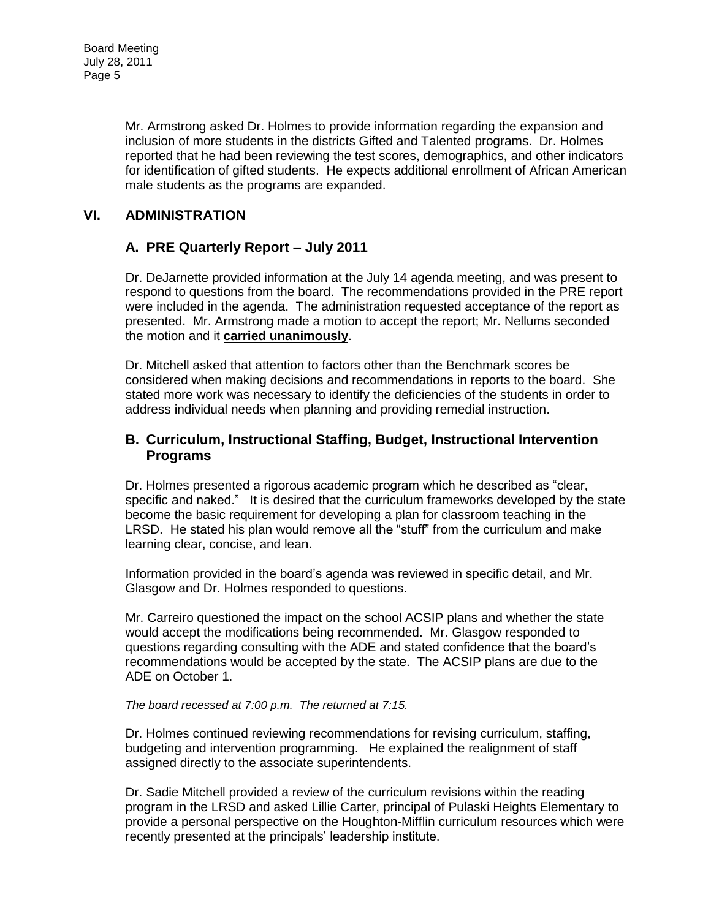Mr. Armstrong asked Dr. Holmes to provide information regarding the expansion and inclusion of more students in the districts Gifted and Talented programs. Dr. Holmes reported that he had been reviewing the test scores, demographics, and other indicators for identification of gifted students. He expects additional enrollment of African American male students as the programs are expanded.

## **VI. ADMINISTRATION**

### **A. PRE Quarterly Report – July 2011**

Dr. DeJarnette provided information at the July 14 agenda meeting, and was present to respond to questions from the board. The recommendations provided in the PRE report were included in the agenda. The administration requested acceptance of the report as presented. Mr. Armstrong made a motion to accept the report; Mr. Nellums seconded the motion and it **carried unanimously**.

Dr. Mitchell asked that attention to factors other than the Benchmark scores be considered when making decisions and recommendations in reports to the board. She stated more work was necessary to identify the deficiencies of the students in order to address individual needs when planning and providing remedial instruction.

### **B. Curriculum, Instructional Staffing, Budget, Instructional Intervention Programs**

Dr. Holmes presented a rigorous academic program which he described as "clear, specific and naked." It is desired that the curriculum frameworks developed by the state become the basic requirement for developing a plan for classroom teaching in the LRSD. He stated his plan would remove all the "stuff" from the curriculum and make learning clear, concise, and lean.

Information provided in the board's agenda was reviewed in specific detail, and Mr. Glasgow and Dr. Holmes responded to questions.

Mr. Carreiro questioned the impact on the school ACSIP plans and whether the state would accept the modifications being recommended. Mr. Glasgow responded to questions regarding consulting with the ADE and stated confidence that the board's recommendations would be accepted by the state. The ACSIP plans are due to the ADE on October 1.

#### *The board recessed at 7:00 p.m. The returned at 7:15.*

Dr. Holmes continued reviewing recommendations for revising curriculum, staffing, budgeting and intervention programming. He explained the realignment of staff assigned directly to the associate superintendents.

Dr. Sadie Mitchell provided a review of the curriculum revisions within the reading program in the LRSD and asked Lillie Carter, principal of Pulaski Heights Elementary to provide a personal perspective on the Houghton-Mifflin curriculum resources which were recently presented at the principals' leadership institute.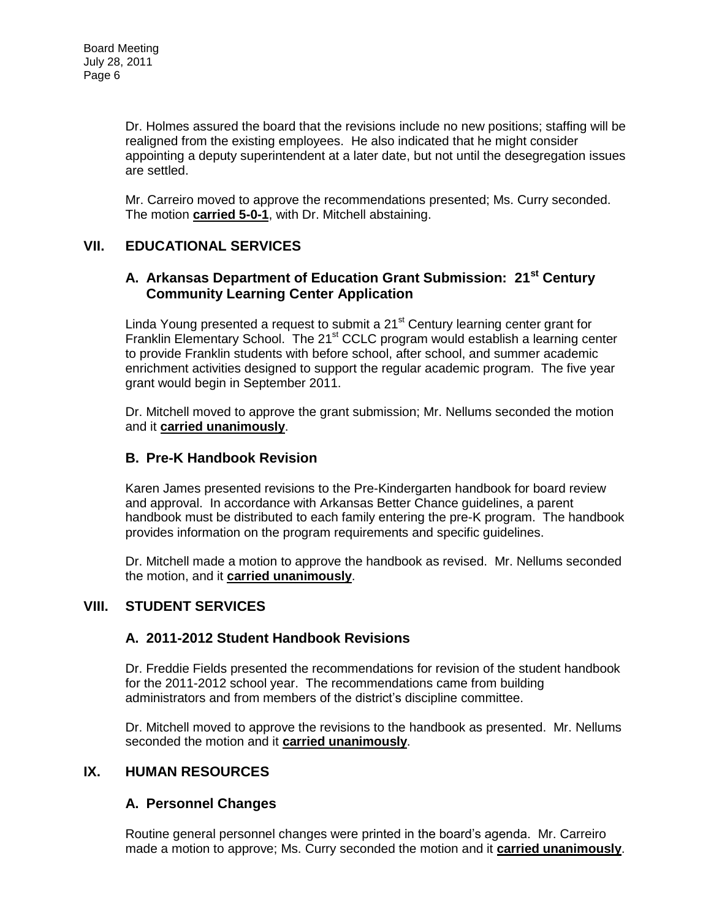Dr. Holmes assured the board that the revisions include no new positions; staffing will be realigned from the existing employees. He also indicated that he might consider appointing a deputy superintendent at a later date, but not until the desegregation issues are settled.

Mr. Carreiro moved to approve the recommendations presented; Ms. Curry seconded. The motion **carried 5-0-1**, with Dr. Mitchell abstaining.

## **VII. EDUCATIONAL SERVICES**

### **A. Arkansas Department of Education Grant Submission: 21st Century Community Learning Center Application**

Linda Young presented a request to submit a  $21<sup>st</sup>$  Century learning center grant for Franklin Elementary School. The 21<sup>st</sup> CCLC program would establish a learning center to provide Franklin students with before school, after school, and summer academic enrichment activities designed to support the regular academic program. The five year grant would begin in September 2011.

Dr. Mitchell moved to approve the grant submission; Mr. Nellums seconded the motion and it **carried unanimously**.

### **B. Pre-K Handbook Revision**

Karen James presented revisions to the Pre-Kindergarten handbook for board review and approval. In accordance with Arkansas Better Chance guidelines, a parent handbook must be distributed to each family entering the pre-K program. The handbook provides information on the program requirements and specific guidelines.

Dr. Mitchell made a motion to approve the handbook as revised. Mr. Nellums seconded the motion, and it **carried unanimously**.

### **VIII. STUDENT SERVICES**

### **A. 2011-2012 Student Handbook Revisions**

Dr. Freddie Fields presented the recommendations for revision of the student handbook for the 2011-2012 school year. The recommendations came from building administrators and from members of the district's discipline committee.

Dr. Mitchell moved to approve the revisions to the handbook as presented. Mr. Nellums seconded the motion and it **carried unanimously**.

### **IX. HUMAN RESOURCES**

### **A. Personnel Changes**

Routine general personnel changes were printed in the board's agenda. Mr. Carreiro made a motion to approve; Ms. Curry seconded the motion and it **carried unanimously**.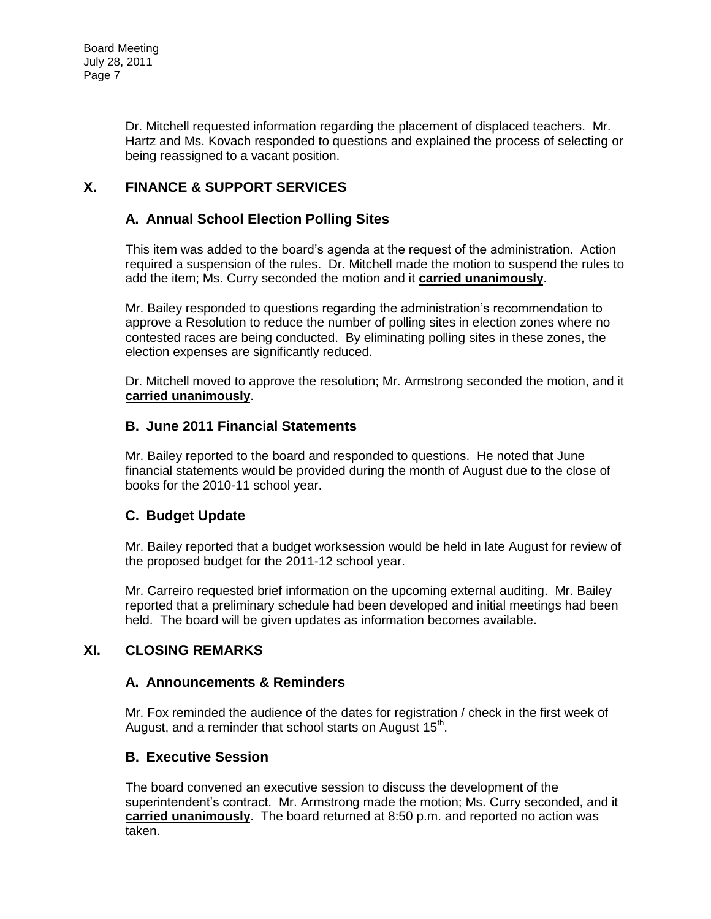Dr. Mitchell requested information regarding the placement of displaced teachers. Mr. Hartz and Ms. Kovach responded to questions and explained the process of selecting or being reassigned to a vacant position.

# **X. FINANCE & SUPPORT SERVICES**

## **A. Annual School Election Polling Sites**

This item was added to the board's agenda at the request of the administration. Action required a suspension of the rules. Dr. Mitchell made the motion to suspend the rules to add the item; Ms. Curry seconded the motion and it **carried unanimously**.

Mr. Bailey responded to questions regarding the administration's recommendation to approve a Resolution to reduce the number of polling sites in election zones where no contested races are being conducted. By eliminating polling sites in these zones, the election expenses are significantly reduced.

Dr. Mitchell moved to approve the resolution; Mr. Armstrong seconded the motion, and it **carried unanimously**.

#### **B. June 2011 Financial Statements**

Mr. Bailey reported to the board and responded to questions. He noted that June financial statements would be provided during the month of August due to the close of books for the 2010-11 school year.

### **C. Budget Update**

Mr. Bailey reported that a budget worksession would be held in late August for review of the proposed budget for the 2011-12 school year.

Mr. Carreiro requested brief information on the upcoming external auditing. Mr. Bailey reported that a preliminary schedule had been developed and initial meetings had been held. The board will be given updates as information becomes available.

### **XI. CLOSING REMARKS**

#### **A. Announcements & Reminders**

Mr. Fox reminded the audience of the dates for registration / check in the first week of August, and a reminder that school starts on August  $15<sup>th</sup>$ .

#### **B. Executive Session**

The board convened an executive session to discuss the development of the superintendent's contract. Mr. Armstrong made the motion; Ms. Curry seconded, and it **carried unanimously**. The board returned at 8:50 p.m. and reported no action was taken.